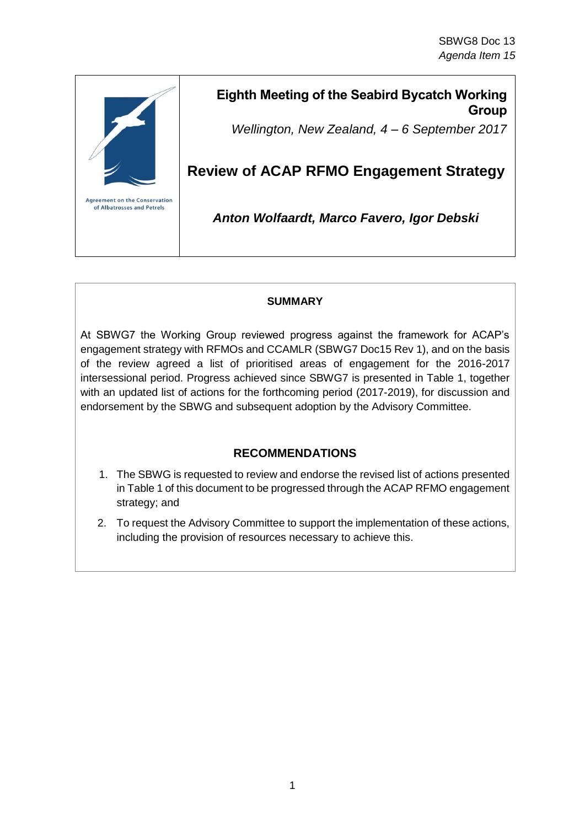

## **Eighth Meeting of the Seabird Bycatch Working Group**

*Wellington, New Zealand, 4 – 6 September 2017*

# **Review of ACAP RFMO Engagement Strategy**

*Anton Wolfaardt, Marco Favero, Igor Debski*

### **SUMMARY**

At SBWG7 the Working Group reviewed progress against the framework for ACAP's engagement strategy with RFMOs and CCAMLR (SBWG7 Doc15 Rev 1), and on the basis of the review agreed a list of prioritised areas of engagement for the 2016-2017 intersessional period. Progress achieved since SBWG7 is presented in Table 1, together with an updated list of actions for the forthcoming period (2017-2019), for discussion and endorsement by the SBWG and subsequent adoption by the Advisory Committee.

## **RECOMMENDATIONS**

- 1. The SBWG is requested to review and endorse the revised list of actions presented in Table 1 of this document to be progressed through the ACAP RFMO engagement strategy; and
- 2. To request the Advisory Committee to support the implementation of these actions, including the provision of resources necessary to achieve this.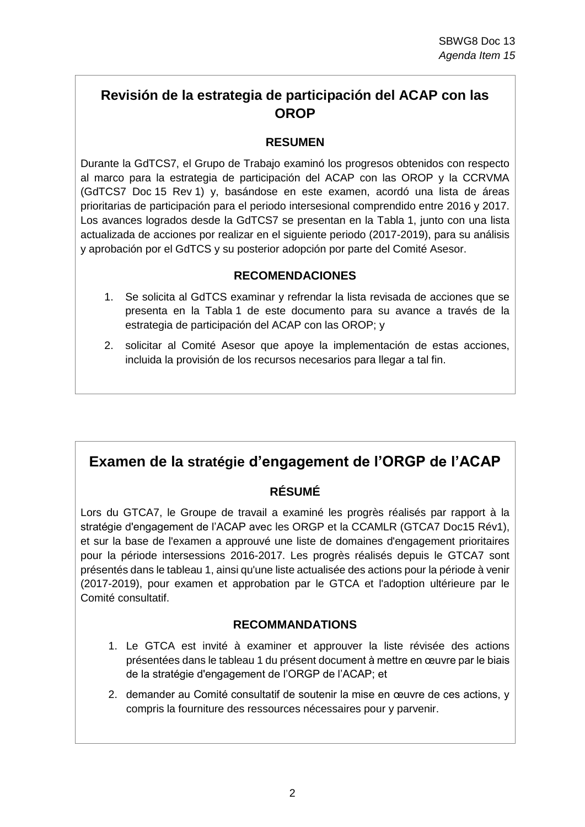## **Revisión de la estrategia de participación del ACAP con las OROP**

## **RESUMEN**

Durante la GdTCS7, el Grupo de Trabajo examinó los progresos obtenidos con respecto al marco para la estrategia de participación del ACAP con las OROP y la CCRVMA (GdTCS7 Doc 15 Rev 1) y, basándose en este examen, acordó una lista de áreas prioritarias de participación para el periodo intersesional comprendido entre 2016 y 2017. Los avances logrados desde la GdTCS7 se presentan en la Tabla 1, junto con una lista actualizada de acciones por realizar en el siguiente periodo (2017-2019), para su análisis y aprobación por el GdTCS y su posterior adopción por parte del Comité Asesor.

#### **RECOMENDACIONES**

- 1. Se solicita al GdTCS examinar y refrendar la lista revisada de acciones que se presenta en la Tabla 1 de este documento para su avance a través de la estrategia de participación del ACAP con las OROP; y
- 2. solicitar al Comité Asesor que apoye la implementación de estas acciones, incluida la provisión de los recursos necesarios para llegar a tal fin.

## **Examen de la stratégie d'engagement de l'ORGP de l'ACAP**

## **RÉSUMÉ**

Lors du GTCA7, le Groupe de travail a examiné les progrès réalisés par rapport à la stratégie d'engagement de l'ACAP avec les ORGP et la CCAMLR (GTCA7 Doc15 Rév1), et sur la base de l'examen a approuvé une liste de domaines d'engagement prioritaires pour la période intersessions 2016-2017. Les progrès réalisés depuis le GTCA7 sont présentés dans le tableau 1, ainsi qu'une liste actualisée des actions pour la période à venir (2017-2019), pour examen et approbation par le GTCA et l'adoption ultérieure par le Comité consultatif.

### **RECOMMANDATIONS**

- 1. Le GTCA est invité à examiner et approuver la liste révisée des actions présentées dans le tableau 1 du présent document à mettre en œuvre par le biais de la stratégie d'engagement de l'ORGP de l'ACAP; et
- 2. demander au Comité consultatif de soutenir la mise en œuvre de ces actions, y compris la fourniture des ressources nécessaires pour y parvenir.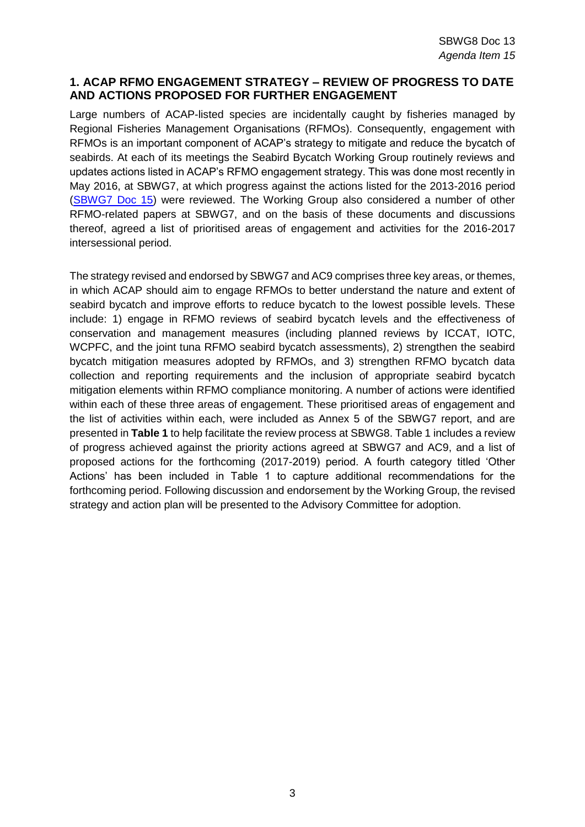#### **1. ACAP RFMO ENGAGEMENT STRATEGY – REVIEW OF PROGRESS TO DATE AND ACTIONS PROPOSED FOR FURTHER ENGAGEMENT**

Large numbers of ACAP-listed species are incidentally caught by fisheries managed by Regional Fisheries Management Organisations (RFMOs). Consequently, engagement with RFMOs is an important component of ACAP's strategy to mitigate and reduce the bycatch of seabirds. At each of its meetings the Seabird Bycatch Working Group routinely reviews and updates actions listed in ACAP's RFMO engagement strategy. This was done most recently in May 2016, at SBWG7, at which progress against the actions listed for the 2013-2016 period [\(SBWG7 Doc 15\)](https://acap.aq/en/working-groups/seabird-bycatch-working-group/seabird-bycatch-wg-meeting-7/sbwg7-meeting-documents/2696-sbwg7-doc-15-review-of-rfmo-engagement-strategy/file) were reviewed. The Working Group also considered a number of other RFMO-related papers at SBWG7, and on the basis of these documents and discussions thereof, agreed a list of prioritised areas of engagement and activities for the 2016-2017 intersessional period.

The strategy revised and endorsed by SBWG7 and AC9 comprises three key areas, or themes, in which ACAP should aim to engage RFMOs to better understand the nature and extent of seabird bycatch and improve efforts to reduce bycatch to the lowest possible levels. These include: 1) engage in RFMO reviews of seabird bycatch levels and the effectiveness of conservation and management measures (including planned reviews by ICCAT, IOTC, WCPFC, and the joint tuna RFMO seabird bycatch assessments), 2) strengthen the seabird bycatch mitigation measures adopted by RFMOs, and 3) strengthen RFMO bycatch data collection and reporting requirements and the inclusion of appropriate seabird bycatch mitigation elements within RFMO compliance monitoring. A number of actions were identified within each of these three areas of engagement. These prioritised areas of engagement and the list of activities within each, were included as Annex 5 of the SBWG7 report, and are presented in **Table 1** to help facilitate the review process at SBWG8. Table 1 includes a review of progress achieved against the priority actions agreed at SBWG7 and AC9, and a list of proposed actions for the forthcoming (2017-2019) period. A fourth category titled 'Other Actions' has been included in Table 1 to capture additional recommendations for the forthcoming period. Following discussion and endorsement by the Working Group, the revised strategy and action plan will be presented to the Advisory Committee for adoption.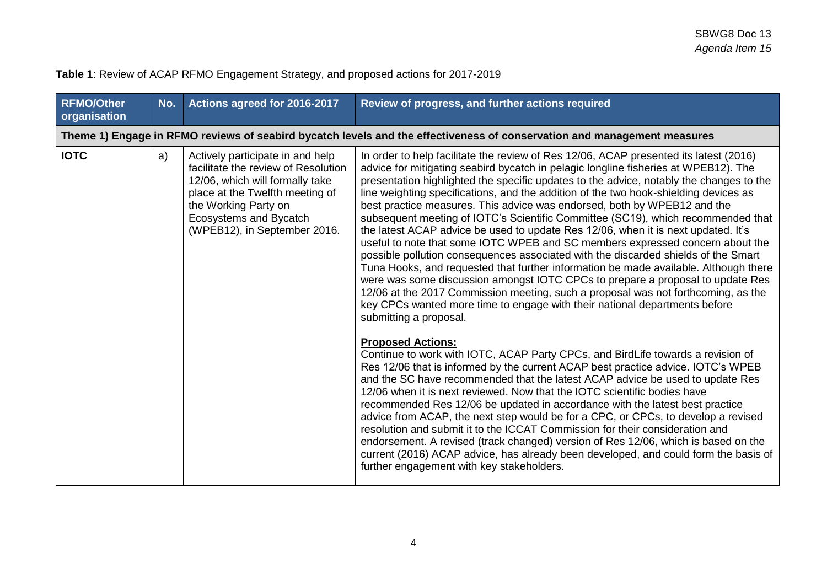| <b>RFMO/Other</b><br>organisation | No. | Actions agreed for 2016-2017                                                                                                                                                                                                    | Review of progress, and further actions required                                                                                                                                                                                                                                                                                                                                                                                                                                                                                                                                                                                                                                                                                                                                                                                                                                                                                                                                                                                                                                                                                                                   |
|-----------------------------------|-----|---------------------------------------------------------------------------------------------------------------------------------------------------------------------------------------------------------------------------------|--------------------------------------------------------------------------------------------------------------------------------------------------------------------------------------------------------------------------------------------------------------------------------------------------------------------------------------------------------------------------------------------------------------------------------------------------------------------------------------------------------------------------------------------------------------------------------------------------------------------------------------------------------------------------------------------------------------------------------------------------------------------------------------------------------------------------------------------------------------------------------------------------------------------------------------------------------------------------------------------------------------------------------------------------------------------------------------------------------------------------------------------------------------------|
|                                   |     |                                                                                                                                                                                                                                 | Theme 1) Engage in RFMO reviews of seabird bycatch levels and the effectiveness of conservation and management measures                                                                                                                                                                                                                                                                                                                                                                                                                                                                                                                                                                                                                                                                                                                                                                                                                                                                                                                                                                                                                                            |
| <b>IOTC</b>                       | a)  | Actively participate in and help<br>facilitate the review of Resolution<br>12/06, which will formally take<br>place at the Twelfth meeting of<br>the Working Party on<br>Ecosystems and Bycatch<br>(WPEB12), in September 2016. | In order to help facilitate the review of Res 12/06, ACAP presented its latest (2016)<br>advice for mitigating seabird bycatch in pelagic longline fisheries at WPEB12). The<br>presentation highlighted the specific updates to the advice, notably the changes to the<br>line weighting specifications, and the addition of the two hook-shielding devices as<br>best practice measures. This advice was endorsed, both by WPEB12 and the<br>subsequent meeting of IOTC's Scientific Committee (SC19), which recommended that<br>the latest ACAP advice be used to update Res 12/06, when it is next updated. It's<br>useful to note that some IOTC WPEB and SC members expressed concern about the<br>possible pollution consequences associated with the discarded shields of the Smart<br>Tuna Hooks, and requested that further information be made available. Although there<br>were was some discussion amongst IOTC CPCs to prepare a proposal to update Res<br>12/06 at the 2017 Commission meeting, such a proposal was not forthcoming, as the<br>key CPCs wanted more time to engage with their national departments before<br>submitting a proposal. |
|                                   |     |                                                                                                                                                                                                                                 | <b>Proposed Actions:</b><br>Continue to work with IOTC, ACAP Party CPCs, and BirdLife towards a revision of<br>Res 12/06 that is informed by the current ACAP best practice advice. IOTC's WPEB<br>and the SC have recommended that the latest ACAP advice be used to update Res<br>12/06 when it is next reviewed. Now that the IOTC scientific bodies have<br>recommended Res 12/06 be updated in accordance with the latest best practice<br>advice from ACAP, the next step would be for a CPC, or CPCs, to develop a revised<br>resolution and submit it to the ICCAT Commission for their consideration and<br>endorsement. A revised (track changed) version of Res 12/06, which is based on the<br>current (2016) ACAP advice, has already been developed, and could form the basis of<br>further engagement with key stakeholders.                                                                                                                                                                                                                                                                                                                        |

# **Table 1**: Review of ACAP RFMO Engagement Strategy, and proposed actions for 2017-2019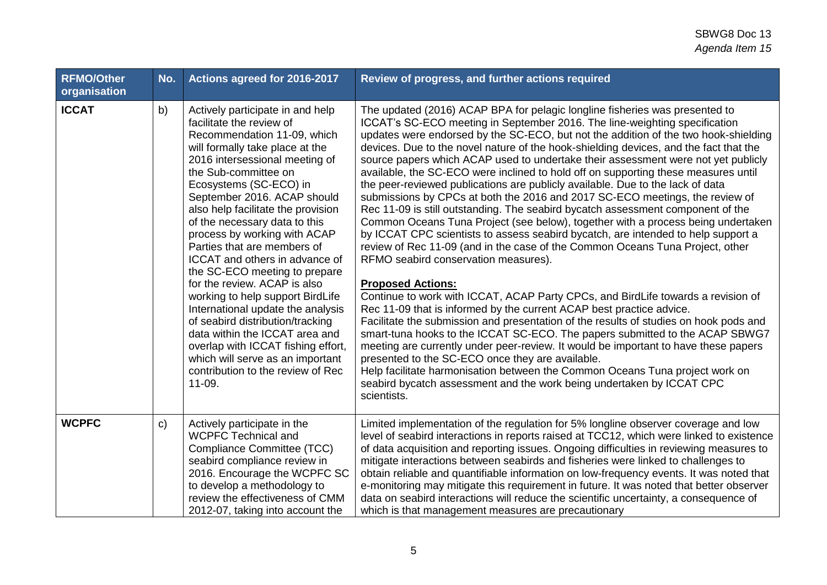| <b>RFMO/Other</b><br>organisation | No.          | Actions agreed for 2016-2017                                                                                                                                                                                                                                                                                                                                                                                                                                                                                                                                                                                                                                                                                                                                              | Review of progress, and further actions required                                                                                                                                                                                                                                                                                                                                                                                                                                                                                                                                                                                                                                                                                                                                                                                                                                                                                                                                                                                                                                                                                                                                                                                                                                                                                                                                                                                                                                                                                                                                                                                                                                                                                                                |
|-----------------------------------|--------------|---------------------------------------------------------------------------------------------------------------------------------------------------------------------------------------------------------------------------------------------------------------------------------------------------------------------------------------------------------------------------------------------------------------------------------------------------------------------------------------------------------------------------------------------------------------------------------------------------------------------------------------------------------------------------------------------------------------------------------------------------------------------------|-----------------------------------------------------------------------------------------------------------------------------------------------------------------------------------------------------------------------------------------------------------------------------------------------------------------------------------------------------------------------------------------------------------------------------------------------------------------------------------------------------------------------------------------------------------------------------------------------------------------------------------------------------------------------------------------------------------------------------------------------------------------------------------------------------------------------------------------------------------------------------------------------------------------------------------------------------------------------------------------------------------------------------------------------------------------------------------------------------------------------------------------------------------------------------------------------------------------------------------------------------------------------------------------------------------------------------------------------------------------------------------------------------------------------------------------------------------------------------------------------------------------------------------------------------------------------------------------------------------------------------------------------------------------------------------------------------------------------------------------------------------------|
| <b>ICCAT</b>                      | b)           | Actively participate in and help<br>facilitate the review of<br>Recommendation 11-09, which<br>will formally take place at the<br>2016 intersessional meeting of<br>the Sub-committee on<br>Ecosystems (SC-ECO) in<br>September 2016. ACAP should<br>also help facilitate the provision<br>of the necessary data to this<br>process by working with ACAP<br>Parties that are members of<br><b>ICCAT</b> and others in advance of<br>the SC-ECO meeting to prepare<br>for the review. ACAP is also<br>working to help support BirdLife<br>International update the analysis<br>of seabird distribution/tracking<br>data within the ICCAT area and<br>overlap with ICCAT fishing effort,<br>which will serve as an important<br>contribution to the review of Rec<br>11-09. | The updated (2016) ACAP BPA for pelagic longline fisheries was presented to<br>ICCAT's SC-ECO meeting in September 2016. The line-weighting specification<br>updates were endorsed by the SC-ECO, but not the addition of the two hook-shielding<br>devices. Due to the novel nature of the hook-shielding devices, and the fact that the<br>source papers which ACAP used to undertake their assessment were not yet publicly<br>available, the SC-ECO were inclined to hold off on supporting these measures until<br>the peer-reviewed publications are publicly available. Due to the lack of data<br>submissions by CPCs at both the 2016 and 2017 SC-ECO meetings, the review of<br>Rec 11-09 is still outstanding. The seabird bycatch assessment component of the<br>Common Oceans Tuna Project (see below), together with a process being undertaken<br>by ICCAT CPC scientists to assess seabird bycatch, are intended to help support a<br>review of Rec 11-09 (and in the case of the Common Oceans Tuna Project, other<br>RFMO seabird conservation measures).<br><b>Proposed Actions:</b><br>Continue to work with ICCAT, ACAP Party CPCs, and BirdLife towards a revision of<br>Rec 11-09 that is informed by the current ACAP best practice advice.<br>Facilitate the submission and presentation of the results of studies on hook pods and<br>smart-tuna hooks to the ICCAT SC-ECO. The papers submitted to the ACAP SBWG7<br>meeting are currently under peer-review. It would be important to have these papers<br>presented to the SC-ECO once they are available.<br>Help facilitate harmonisation between the Common Oceans Tuna project work on<br>seabird bycatch assessment and the work being undertaken by ICCAT CPC<br>scientists. |
| <b>WCPFC</b>                      | $\mathsf{C}$ | Actively participate in the<br><b>WCPFC Technical and</b><br>Compliance Committee (TCC)<br>seabird compliance review in<br>2016. Encourage the WCPFC SC<br>to develop a methodology to<br>review the effectiveness of CMM<br>2012-07, taking into account the                                                                                                                                                                                                                                                                                                                                                                                                                                                                                                             | Limited implementation of the regulation for 5% longline observer coverage and low<br>level of seabird interactions in reports raised at TCC12, which were linked to existence<br>of data acquisition and reporting issues. Ongoing difficulties in reviewing measures to<br>mitigate interactions between seabirds and fisheries were linked to challenges to<br>obtain reliable and quantifiable information on low-frequency events. It was noted that<br>e-monitoring may mitigate this requirement in future. It was noted that better observer<br>data on seabird interactions will reduce the scientific uncertainty, a consequence of<br>which is that management measures are precautionary                                                                                                                                                                                                                                                                                                                                                                                                                                                                                                                                                                                                                                                                                                                                                                                                                                                                                                                                                                                                                                                            |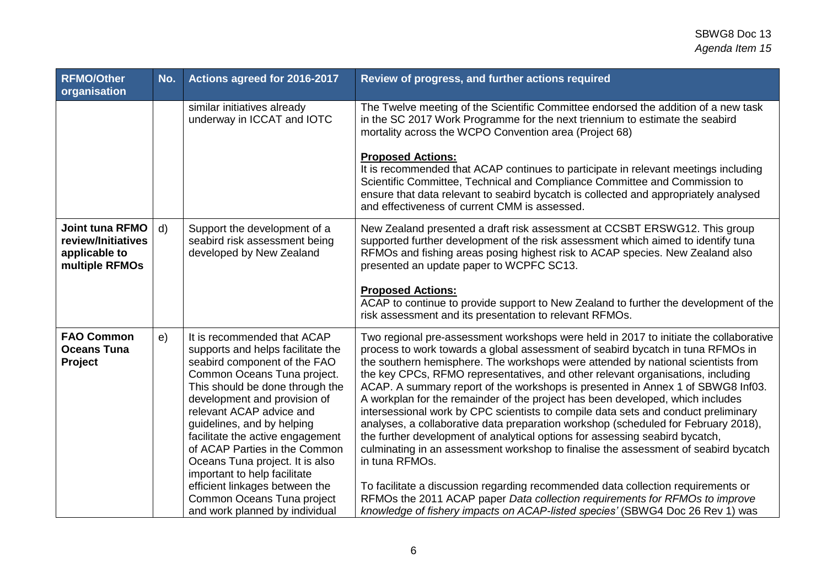| <b>RFMO/Other</b><br>organisation                                        | No.          | Actions agreed for 2016-2017                                                                                                                                                                                                                                                                                                                                                                                                                                                                           | Review of progress, and further actions required                                                                                                                                                                                                                                                                                                                                                                                                                                                                                                                                                                                                                                                                                                                                                                                                                                                                                                                                                                                                                                                                                              |
|--------------------------------------------------------------------------|--------------|--------------------------------------------------------------------------------------------------------------------------------------------------------------------------------------------------------------------------------------------------------------------------------------------------------------------------------------------------------------------------------------------------------------------------------------------------------------------------------------------------------|-----------------------------------------------------------------------------------------------------------------------------------------------------------------------------------------------------------------------------------------------------------------------------------------------------------------------------------------------------------------------------------------------------------------------------------------------------------------------------------------------------------------------------------------------------------------------------------------------------------------------------------------------------------------------------------------------------------------------------------------------------------------------------------------------------------------------------------------------------------------------------------------------------------------------------------------------------------------------------------------------------------------------------------------------------------------------------------------------------------------------------------------------|
|                                                                          |              | similar initiatives already<br>underway in ICCAT and IOTC                                                                                                                                                                                                                                                                                                                                                                                                                                              | The Twelve meeting of the Scientific Committee endorsed the addition of a new task<br>in the SC 2017 Work Programme for the next triennium to estimate the seabird<br>mortality across the WCPO Convention area (Project 68)<br><b>Proposed Actions:</b><br>It is recommended that ACAP continues to participate in relevant meetings including<br>Scientific Committee, Technical and Compliance Committee and Commission to<br>ensure that data relevant to seabird bycatch is collected and appropriately analysed<br>and effectiveness of current CMM is assessed.                                                                                                                                                                                                                                                                                                                                                                                                                                                                                                                                                                        |
| Joint tuna RFMO<br>review/Initiatives<br>applicable to<br>multiple RFMOs | $\mathsf{d}$ | Support the development of a<br>seabird risk assessment being<br>developed by New Zealand                                                                                                                                                                                                                                                                                                                                                                                                              | New Zealand presented a draft risk assessment at CCSBT ERSWG12. This group<br>supported further development of the risk assessment which aimed to identify tuna<br>RFMOs and fishing areas posing highest risk to ACAP species. New Zealand also<br>presented an update paper to WCPFC SC13.<br><b>Proposed Actions:</b><br>ACAP to continue to provide support to New Zealand to further the development of the<br>risk assessment and its presentation to relevant RFMOs.                                                                                                                                                                                                                                                                                                                                                                                                                                                                                                                                                                                                                                                                   |
| <b>FAO Common</b><br><b>Oceans Tuna</b><br>Project                       | e)           | It is recommended that ACAP<br>supports and helps facilitate the<br>seabird component of the FAO<br>Common Oceans Tuna project.<br>This should be done through the<br>development and provision of<br>relevant ACAP advice and<br>guidelines, and by helping<br>facilitate the active engagement<br>of ACAP Parties in the Common<br>Oceans Tuna project. It is also<br>important to help facilitate<br>efficient linkages between the<br>Common Oceans Tuna project<br>and work planned by individual | Two regional pre-assessment workshops were held in 2017 to initiate the collaborative<br>process to work towards a global assessment of seabird bycatch in tuna RFMOs in<br>the southern hemisphere. The workshops were attended by national scientists from<br>the key CPCs, RFMO representatives, and other relevant organisations, including<br>ACAP. A summary report of the workshops is presented in Annex 1 of SBWG8 Inf03.<br>A workplan for the remainder of the project has been developed, which includes<br>intersessional work by CPC scientists to compile data sets and conduct preliminary<br>analyses, a collaborative data preparation workshop (scheduled for February 2018),<br>the further development of analytical options for assessing seabird bycatch,<br>culminating in an assessment workshop to finalise the assessment of seabird bycatch<br>in tuna RFMOs.<br>To facilitate a discussion regarding recommended data collection requirements or<br>RFMOs the 2011 ACAP paper Data collection requirements for RFMOs to improve<br>knowledge of fishery impacts on ACAP-listed species' (SBWG4 Doc 26 Rev 1) was |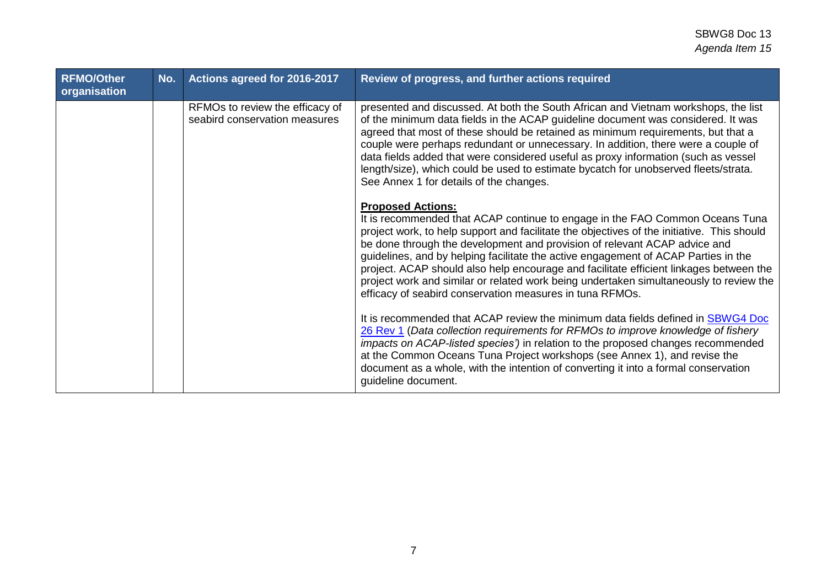## SBWG8 Doc 13 *Agenda Item 15*

| <b>RFMO/Other</b><br>organisation | No. | Actions agreed for 2016-2017                                     | Review of progress, and further actions required                                                                                                                                                                                                                                                                                                                                                                                                                                                                                                                                                                          |
|-----------------------------------|-----|------------------------------------------------------------------|---------------------------------------------------------------------------------------------------------------------------------------------------------------------------------------------------------------------------------------------------------------------------------------------------------------------------------------------------------------------------------------------------------------------------------------------------------------------------------------------------------------------------------------------------------------------------------------------------------------------------|
|                                   |     | RFMOs to review the efficacy of<br>seabird conservation measures | presented and discussed. At both the South African and Vietnam workshops, the list<br>of the minimum data fields in the ACAP guideline document was considered. It was<br>agreed that most of these should be retained as minimum requirements, but that a<br>couple were perhaps redundant or unnecessary. In addition, there were a couple of<br>data fields added that were considered useful as proxy information (such as vessel<br>length/size), which could be used to estimate bycatch for unobserved fleets/strata.<br>See Annex 1 for details of the changes.                                                   |
|                                   |     |                                                                  | <b>Proposed Actions:</b><br>It is recommended that ACAP continue to engage in the FAO Common Oceans Tuna<br>project work, to help support and facilitate the objectives of the initiative. This should<br>be done through the development and provision of relevant ACAP advice and<br>guidelines, and by helping facilitate the active engagement of ACAP Parties in the<br>project. ACAP should also help encourage and facilitate efficient linkages between the<br>project work and similar or related work being undertaken simultaneously to review the<br>efficacy of seabird conservation measures in tuna RFMOs. |
|                                   |     |                                                                  | It is recommended that ACAP review the minimum data fields defined in SBWG4 Doc<br>26 Rev 1 (Data collection requirements for RFMOs to improve knowledge of fishery<br>impacts on ACAP-listed species') in relation to the proposed changes recommended<br>at the Common Oceans Tuna Project workshops (see Annex 1), and revise the<br>document as a whole, with the intention of converting it into a formal conservation<br>guideline document.                                                                                                                                                                        |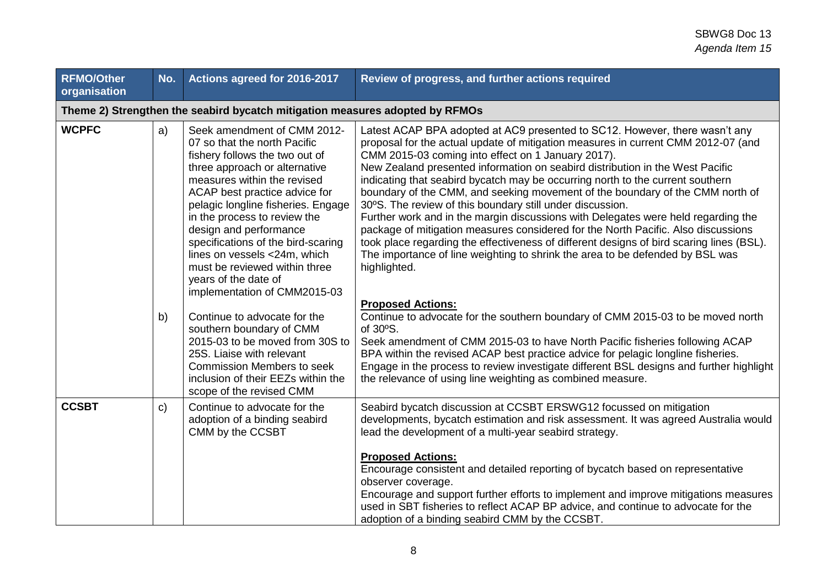| <b>RFMO/Other</b><br>organisation | No.                                                                          | Actions agreed for 2016-2017                                                                                                                                                                                                                                                                                                                                                                                                                                                                  | Review of progress, and further actions required                                                                                                                                                                                                                                                                                                                                                                                                                                                                                                                                                                                                                                                                                                                                                                                                                                                                                                                                                                              |  |  |
|-----------------------------------|------------------------------------------------------------------------------|-----------------------------------------------------------------------------------------------------------------------------------------------------------------------------------------------------------------------------------------------------------------------------------------------------------------------------------------------------------------------------------------------------------------------------------------------------------------------------------------------|-------------------------------------------------------------------------------------------------------------------------------------------------------------------------------------------------------------------------------------------------------------------------------------------------------------------------------------------------------------------------------------------------------------------------------------------------------------------------------------------------------------------------------------------------------------------------------------------------------------------------------------------------------------------------------------------------------------------------------------------------------------------------------------------------------------------------------------------------------------------------------------------------------------------------------------------------------------------------------------------------------------------------------|--|--|
|                                   | Theme 2) Strengthen the seabird bycatch mitigation measures adopted by RFMOs |                                                                                                                                                                                                                                                                                                                                                                                                                                                                                               |                                                                                                                                                                                                                                                                                                                                                                                                                                                                                                                                                                                                                                                                                                                                                                                                                                                                                                                                                                                                                               |  |  |
| <b>WCPFC</b>                      | a)<br>b)                                                                     | Seek amendment of CMM 2012-<br>07 so that the north Pacific<br>fishery follows the two out of<br>three approach or alternative<br>measures within the revised<br>ACAP best practice advice for<br>pelagic longline fisheries. Engage<br>in the process to review the<br>design and performance<br>specifications of the bird-scaring<br>lines on vessels <24m, which<br>must be reviewed within three<br>years of the date of<br>implementation of CMM2015-03<br>Continue to advocate for the | Latest ACAP BPA adopted at AC9 presented to SC12. However, there wasn't any<br>proposal for the actual update of mitigation measures in current CMM 2012-07 (and<br>CMM 2015-03 coming into effect on 1 January 2017).<br>New Zealand presented information on seabird distribution in the West Pacific<br>indicating that seabird bycatch may be occurring north to the current southern<br>boundary of the CMM, and seeking movement of the boundary of the CMM north of<br>30°S. The review of this boundary still under discussion.<br>Further work and in the margin discussions with Delegates were held regarding the<br>package of mitigation measures considered for the North Pacific. Also discussions<br>took place regarding the effectiveness of different designs of bird scaring lines (BSL).<br>The importance of line weighting to shrink the area to be defended by BSL was<br>highlighted.<br><b>Proposed Actions:</b><br>Continue to advocate for the southern boundary of CMM 2015-03 to be moved north |  |  |
|                                   |                                                                              | southern boundary of CMM<br>2015-03 to be moved from 30S to<br>25S. Liaise with relevant<br><b>Commission Members to seek</b><br>inclusion of their EEZs within the<br>scope of the revised CMM                                                                                                                                                                                                                                                                                               | of 30°S.<br>Seek amendment of CMM 2015-03 to have North Pacific fisheries following ACAP<br>BPA within the revised ACAP best practice advice for pelagic longline fisheries.<br>Engage in the process to review investigate different BSL designs and further highlight<br>the relevance of using line weighting as combined measure.                                                                                                                                                                                                                                                                                                                                                                                                                                                                                                                                                                                                                                                                                         |  |  |
| <b>CCSBT</b>                      | c)                                                                           | Continue to advocate for the<br>adoption of a binding seabird<br>CMM by the CCSBT                                                                                                                                                                                                                                                                                                                                                                                                             | Seabird bycatch discussion at CCSBT ERSWG12 focussed on mitigation<br>developments, bycatch estimation and risk assessment. It was agreed Australia would<br>lead the development of a multi-year seabird strategy.<br><b>Proposed Actions:</b><br>Encourage consistent and detailed reporting of bycatch based on representative<br>observer coverage.<br>Encourage and support further efforts to implement and improve mitigations measures<br>used in SBT fisheries to reflect ACAP BP advice, and continue to advocate for the<br>adoption of a binding seabird CMM by the CCSBT.                                                                                                                                                                                                                                                                                                                                                                                                                                        |  |  |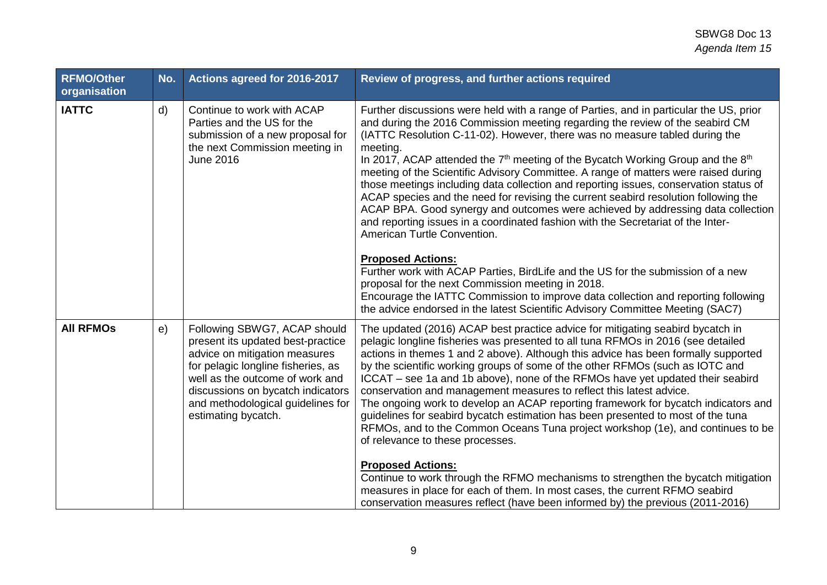## SBWG8 Doc 13 *Agenda Item 15*

| <b>RFMO/Other</b><br>organisation | No. | Actions agreed for 2016-2017                                                                                                                                                                                                                                                 | Review of progress, and further actions required                                                                                                                                                                                                                                                                                                                                                                                                                                                                                                                                                                                                                                                                                                                                                                                                                                                                                                                                                                                                                                                                                                                                  |
|-----------------------------------|-----|------------------------------------------------------------------------------------------------------------------------------------------------------------------------------------------------------------------------------------------------------------------------------|-----------------------------------------------------------------------------------------------------------------------------------------------------------------------------------------------------------------------------------------------------------------------------------------------------------------------------------------------------------------------------------------------------------------------------------------------------------------------------------------------------------------------------------------------------------------------------------------------------------------------------------------------------------------------------------------------------------------------------------------------------------------------------------------------------------------------------------------------------------------------------------------------------------------------------------------------------------------------------------------------------------------------------------------------------------------------------------------------------------------------------------------------------------------------------------|
| <b>IATTC</b>                      | d)  | Continue to work with ACAP<br>Parties and the US for the<br>submission of a new proposal for<br>the next Commission meeting in<br><b>June 2016</b>                                                                                                                           | Further discussions were held with a range of Parties, and in particular the US, prior<br>and during the 2016 Commission meeting regarding the review of the seabird CM<br>(IATTC Resolution C-11-02). However, there was no measure tabled during the<br>meeting.<br>In 2017, ACAP attended the $7th$ meeting of the Bycatch Working Group and the $8th$<br>meeting of the Scientific Advisory Committee. A range of matters were raised during<br>those meetings including data collection and reporting issues, conservation status of<br>ACAP species and the need for revising the current seabird resolution following the<br>ACAP BPA. Good synergy and outcomes were achieved by addressing data collection<br>and reporting issues in a coordinated fashion with the Secretariat of the Inter-<br>American Turtle Convention.<br><b>Proposed Actions:</b><br>Further work with ACAP Parties, BirdLife and the US for the submission of a new<br>proposal for the next Commission meeting in 2018.<br>Encourage the IATTC Commission to improve data collection and reporting following<br>the advice endorsed in the latest Scientific Advisory Committee Meeting (SAC7) |
| <b>All RFMOS</b>                  | e)  | Following SBWG7, ACAP should<br>present its updated best-practice<br>advice on mitigation measures<br>for pelagic longline fisheries, as<br>well as the outcome of work and<br>discussions on bycatch indicators<br>and methodological guidelines for<br>estimating bycatch. | The updated (2016) ACAP best practice advice for mitigating seabird bycatch in<br>pelagic longline fisheries was presented to all tuna RFMOs in 2016 (see detailed<br>actions in themes 1 and 2 above). Although this advice has been formally supported<br>by the scientific working groups of some of the other RFMOs (such as IOTC and<br>ICCAT – see 1a and 1b above), none of the RFMOs have yet updated their seabird<br>conservation and management measures to reflect this latest advice.<br>The ongoing work to develop an ACAP reporting framework for bycatch indicators and<br>guidelines for seabird bycatch estimation has been presented to most of the tuna<br>RFMOs, and to the Common Oceans Tuna project workshop (1e), and continues to be<br>of relevance to these processes.<br><b>Proposed Actions:</b><br>Continue to work through the RFMO mechanisms to strengthen the bycatch mitigation<br>measures in place for each of them. In most cases, the current RFMO seabird<br>conservation measures reflect (have been informed by) the previous (2011-2016)                                                                                             |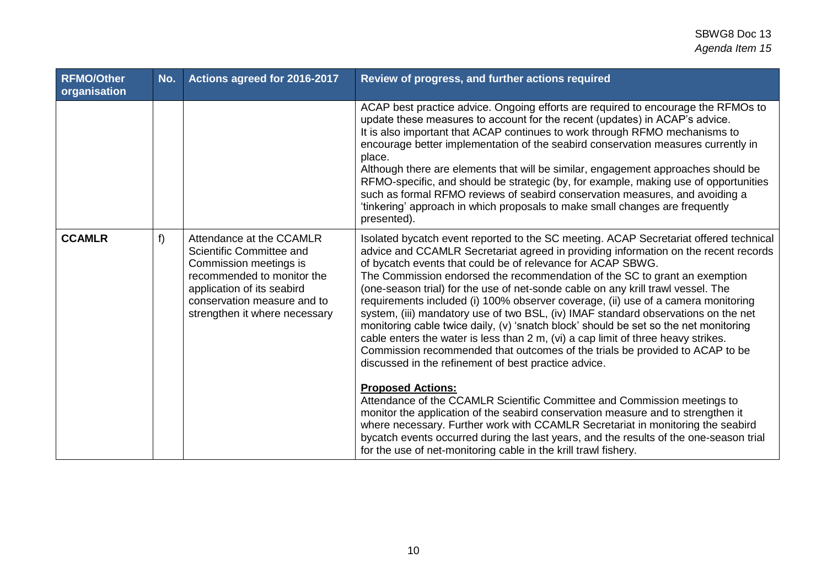| <b>RFMO/Other</b><br>organisation | No.   | Actions agreed for 2016-2017                                                                                                                                                                               | Review of progress, and further actions required                                                                                                                                                                                                                                                                                                                                                                                                                                                                                                                                                                                                                                                                                                                                                                                                                                                              |
|-----------------------------------|-------|------------------------------------------------------------------------------------------------------------------------------------------------------------------------------------------------------------|---------------------------------------------------------------------------------------------------------------------------------------------------------------------------------------------------------------------------------------------------------------------------------------------------------------------------------------------------------------------------------------------------------------------------------------------------------------------------------------------------------------------------------------------------------------------------------------------------------------------------------------------------------------------------------------------------------------------------------------------------------------------------------------------------------------------------------------------------------------------------------------------------------------|
|                                   |       |                                                                                                                                                                                                            | ACAP best practice advice. Ongoing efforts are required to encourage the RFMOs to<br>update these measures to account for the recent (updates) in ACAP's advice.<br>It is also important that ACAP continues to work through RFMO mechanisms to<br>encourage better implementation of the seabird conservation measures currently in<br>place.<br>Although there are elements that will be similar, engagement approaches should be<br>RFMO-specific, and should be strategic (by, for example, making use of opportunities<br>such as formal RFMO reviews of seabird conservation measures, and avoiding a<br>'tinkering' approach in which proposals to make small changes are frequently<br>presented).                                                                                                                                                                                                    |
| <b>CCAMLR</b>                     | $f$ ) | Attendance at the CCAMLR<br>Scientific Committee and<br>Commission meetings is<br>recommended to monitor the<br>application of its seabird<br>conservation measure and to<br>strengthen it where necessary | Isolated bycatch event reported to the SC meeting. ACAP Secretariat offered technical<br>advice and CCAMLR Secretariat agreed in providing information on the recent records<br>of bycatch events that could be of relevance for ACAP SBWG.<br>The Commission endorsed the recommendation of the SC to grant an exemption<br>(one-season trial) for the use of net-sonde cable on any krill trawl vessel. The<br>requirements included (i) 100% observer coverage, (ii) use of a camera monitoring<br>system, (iii) mandatory use of two BSL, (iv) IMAF standard observations on the net<br>monitoring cable twice daily, (v) 'snatch block' should be set so the net monitoring<br>cable enters the water is less than 2 m, (vi) a cap limit of three heavy strikes.<br>Commission recommended that outcomes of the trials be provided to ACAP to be<br>discussed in the refinement of best practice advice. |
|                                   |       |                                                                                                                                                                                                            | <b>Proposed Actions:</b><br>Attendance of the CCAMLR Scientific Committee and Commission meetings to<br>monitor the application of the seabird conservation measure and to strengthen it<br>where necessary. Further work with CCAMLR Secretariat in monitoring the seabird<br>bycatch events occurred during the last years, and the results of the one-season trial<br>for the use of net-monitoring cable in the krill trawl fishery.                                                                                                                                                                                                                                                                                                                                                                                                                                                                      |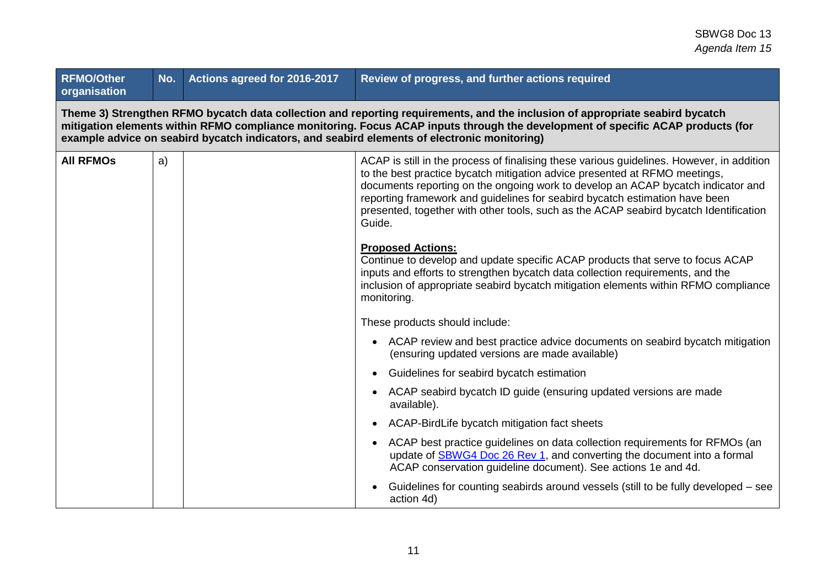| <b>RFMO/Other</b><br>organisation |                                                                                                                                                                                                                                                                                                                                                                  | No. Actions agreed for 2016-2017 | Review of progress, and further actions required                                                                                                                                                                                                                                                                                                                                                                                              |  |  |
|-----------------------------------|------------------------------------------------------------------------------------------------------------------------------------------------------------------------------------------------------------------------------------------------------------------------------------------------------------------------------------------------------------------|----------------------------------|-----------------------------------------------------------------------------------------------------------------------------------------------------------------------------------------------------------------------------------------------------------------------------------------------------------------------------------------------------------------------------------------------------------------------------------------------|--|--|
|                                   | Theme 3) Strengthen RFMO bycatch data collection and reporting requirements, and the inclusion of appropriate seabird bycatch<br>mitigation elements within RFMO compliance monitoring. Focus ACAP inputs through the development of specific ACAP products (for<br>example advice on seabird bycatch indicators, and seabird elements of electronic monitoring) |                                  |                                                                                                                                                                                                                                                                                                                                                                                                                                               |  |  |
| <b>All RFMOS</b>                  | a)                                                                                                                                                                                                                                                                                                                                                               |                                  | ACAP is still in the process of finalising these various guidelines. However, in addition<br>to the best practice bycatch mitigation advice presented at RFMO meetings,<br>documents reporting on the ongoing work to develop an ACAP bycatch indicator and<br>reporting framework and guidelines for seabird bycatch estimation have been<br>presented, together with other tools, such as the ACAP seabird bycatch Identification<br>Guide. |  |  |
|                                   |                                                                                                                                                                                                                                                                                                                                                                  |                                  | <b>Proposed Actions:</b><br>Continue to develop and update specific ACAP products that serve to focus ACAP<br>inputs and efforts to strengthen bycatch data collection requirements, and the<br>inclusion of appropriate seabird bycatch mitigation elements within RFMO compliance<br>monitoring.                                                                                                                                            |  |  |
|                                   |                                                                                                                                                                                                                                                                                                                                                                  |                                  | These products should include:                                                                                                                                                                                                                                                                                                                                                                                                                |  |  |
|                                   |                                                                                                                                                                                                                                                                                                                                                                  |                                  | • ACAP review and best practice advice documents on seabird bycatch mitigation<br>(ensuring updated versions are made available)                                                                                                                                                                                                                                                                                                              |  |  |
|                                   |                                                                                                                                                                                                                                                                                                                                                                  |                                  | Guidelines for seabird bycatch estimation                                                                                                                                                                                                                                                                                                                                                                                                     |  |  |
|                                   |                                                                                                                                                                                                                                                                                                                                                                  |                                  | ACAP seabird bycatch ID guide (ensuring updated versions are made<br>available).                                                                                                                                                                                                                                                                                                                                                              |  |  |
|                                   |                                                                                                                                                                                                                                                                                                                                                                  |                                  | ACAP-BirdLife bycatch mitigation fact sheets                                                                                                                                                                                                                                                                                                                                                                                                  |  |  |
|                                   |                                                                                                                                                                                                                                                                                                                                                                  |                                  | ACAP best practice guidelines on data collection requirements for RFMOs (an<br>update of SBWG4 Doc 26 Rev 1, and converting the document into a formal<br>ACAP conservation guideline document). See actions 1e and 4d.                                                                                                                                                                                                                       |  |  |
|                                   |                                                                                                                                                                                                                                                                                                                                                                  |                                  | Guidelines for counting seabirds around vessels (still to be fully developed – see<br>action 4d)                                                                                                                                                                                                                                                                                                                                              |  |  |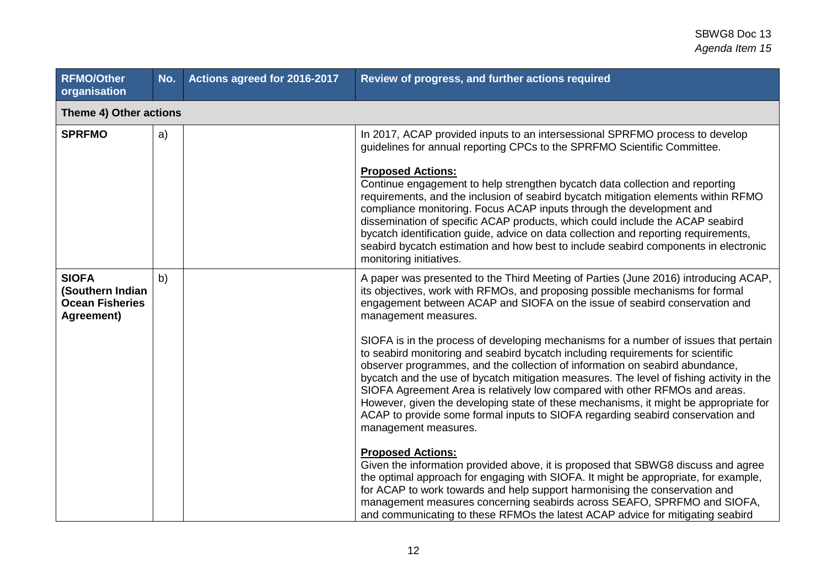| <b>RFMO/Other</b><br>organisation                                        | No. | Actions agreed for 2016-2017 | Review of progress, and further actions required                                                                                                                                                                                                                                                                                                                                                                                                                                                                                                                                                                                     |
|--------------------------------------------------------------------------|-----|------------------------------|--------------------------------------------------------------------------------------------------------------------------------------------------------------------------------------------------------------------------------------------------------------------------------------------------------------------------------------------------------------------------------------------------------------------------------------------------------------------------------------------------------------------------------------------------------------------------------------------------------------------------------------|
| Theme 4) Other actions                                                   |     |                              |                                                                                                                                                                                                                                                                                                                                                                                                                                                                                                                                                                                                                                      |
| <b>SPRFMO</b>                                                            | a)  |                              | In 2017, ACAP provided inputs to an intersessional SPRFMO process to develop<br>guidelines for annual reporting CPCs to the SPRFMO Scientific Committee.                                                                                                                                                                                                                                                                                                                                                                                                                                                                             |
|                                                                          |     |                              | <b>Proposed Actions:</b><br>Continue engagement to help strengthen bycatch data collection and reporting<br>requirements, and the inclusion of seabird bycatch mitigation elements within RFMO<br>compliance monitoring. Focus ACAP inputs through the development and<br>dissemination of specific ACAP products, which could include the ACAP seabird<br>bycatch identification guide, advice on data collection and reporting requirements,<br>seabird bycatch estimation and how best to include seabird components in electronic<br>monitoring initiatives.                                                                     |
| <b>SIOFA</b><br>(Southern Indian<br><b>Ocean Fisheries</b><br>Agreement) | b)  |                              | A paper was presented to the Third Meeting of Parties (June 2016) introducing ACAP,<br>its objectives, work with RFMOs, and proposing possible mechanisms for formal<br>engagement between ACAP and SIOFA on the issue of seabird conservation and<br>management measures.                                                                                                                                                                                                                                                                                                                                                           |
|                                                                          |     |                              | SIOFA is in the process of developing mechanisms for a number of issues that pertain<br>to seabird monitoring and seabird bycatch including requirements for scientific<br>observer programmes, and the collection of information on seabird abundance,<br>bycatch and the use of bycatch mitigation measures. The level of fishing activity in the<br>SIOFA Agreement Area is relatively low compared with other RFMOs and areas.<br>However, given the developing state of these mechanisms, it might be appropriate for<br>ACAP to provide some formal inputs to SIOFA regarding seabird conservation and<br>management measures. |
|                                                                          |     |                              | <b>Proposed Actions:</b><br>Given the information provided above, it is proposed that SBWG8 discuss and agree<br>the optimal approach for engaging with SIOFA. It might be appropriate, for example,<br>for ACAP to work towards and help support harmonising the conservation and<br>management measures concerning seabirds across SEAFO, SPRFMO and SIOFA,<br>and communicating to these RFMOs the latest ACAP advice for mitigating seabird                                                                                                                                                                                      |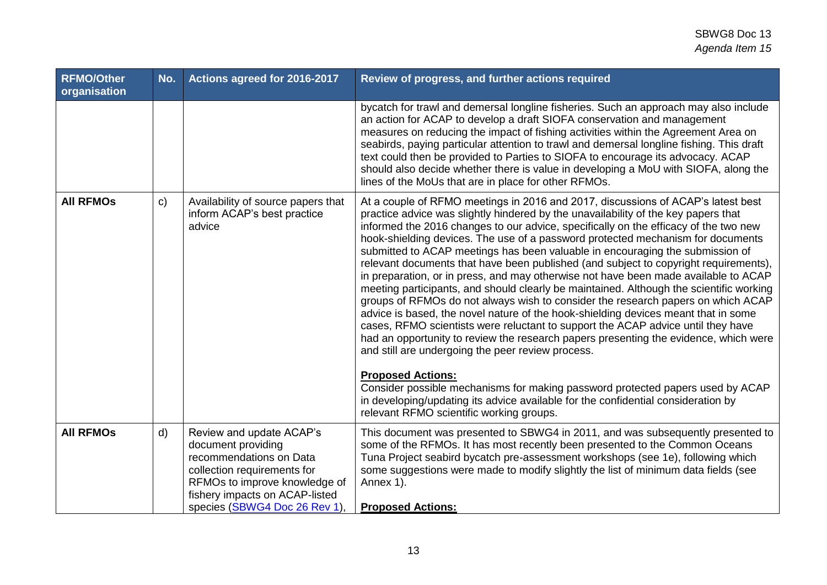| <b>RFMO/Other</b><br>organisation | No.          | Actions agreed for 2016-2017                                                                                                                                                                                | Review of progress, and further actions required                                                                                                                                                                                                                                                                                                                                                                                                                                                                                                                                                                                                                                                                                                                                                                                                                                                                                                                                                                                                                                                                                                                                                                                                                                                                                                                       |
|-----------------------------------|--------------|-------------------------------------------------------------------------------------------------------------------------------------------------------------------------------------------------------------|------------------------------------------------------------------------------------------------------------------------------------------------------------------------------------------------------------------------------------------------------------------------------------------------------------------------------------------------------------------------------------------------------------------------------------------------------------------------------------------------------------------------------------------------------------------------------------------------------------------------------------------------------------------------------------------------------------------------------------------------------------------------------------------------------------------------------------------------------------------------------------------------------------------------------------------------------------------------------------------------------------------------------------------------------------------------------------------------------------------------------------------------------------------------------------------------------------------------------------------------------------------------------------------------------------------------------------------------------------------------|
|                                   |              |                                                                                                                                                                                                             | bycatch for trawl and demersal longline fisheries. Such an approach may also include<br>an action for ACAP to develop a draft SIOFA conservation and management<br>measures on reducing the impact of fishing activities within the Agreement Area on<br>seabirds, paying particular attention to trawl and demersal longline fishing. This draft<br>text could then be provided to Parties to SIOFA to encourage its advocacy. ACAP<br>should also decide whether there is value in developing a MoU with SIOFA, along the<br>lines of the MoUs that are in place for other RFMOs.                                                                                                                                                                                                                                                                                                                                                                                                                                                                                                                                                                                                                                                                                                                                                                                    |
| <b>AII RFMOS</b>                  | $\mathbf{C}$ | Availability of source papers that<br>inform ACAP's best practice<br>advice                                                                                                                                 | At a couple of RFMO meetings in 2016 and 2017, discussions of ACAP's latest best<br>practice advice was slightly hindered by the unavailability of the key papers that<br>informed the 2016 changes to our advice, specifically on the efficacy of the two new<br>hook-shielding devices. The use of a password protected mechanism for documents<br>submitted to ACAP meetings has been valuable in encouraging the submission of<br>relevant documents that have been published (and subject to copyright requirements),<br>in preparation, or in press, and may otherwise not have been made available to ACAP<br>meeting participants, and should clearly be maintained. Although the scientific working<br>groups of RFMOs do not always wish to consider the research papers on which ACAP<br>advice is based, the novel nature of the hook-shielding devices meant that in some<br>cases, RFMO scientists were reluctant to support the ACAP advice until they have<br>had an opportunity to review the research papers presenting the evidence, which were<br>and still are undergoing the peer review process.<br><b>Proposed Actions:</b><br>Consider possible mechanisms for making password protected papers used by ACAP<br>in developing/updating its advice available for the confidential consideration by<br>relevant RFMO scientific working groups. |
| <b>All RFMOS</b>                  | d)           | Review and update ACAP's<br>document providing<br>recommendations on Data<br>collection requirements for<br>RFMOs to improve knowledge of<br>fishery impacts on ACAP-listed<br>species (SBWG4 Doc 26 Rev 1) | This document was presented to SBWG4 in 2011, and was subsequently presented to<br>some of the RFMOs. It has most recently been presented to the Common Oceans<br>Tuna Project seabird bycatch pre-assessment workshops (see 1e), following which<br>some suggestions were made to modify slightly the list of minimum data fields (see<br>Annex 1).<br><b>Proposed Actions:</b>                                                                                                                                                                                                                                                                                                                                                                                                                                                                                                                                                                                                                                                                                                                                                                                                                                                                                                                                                                                       |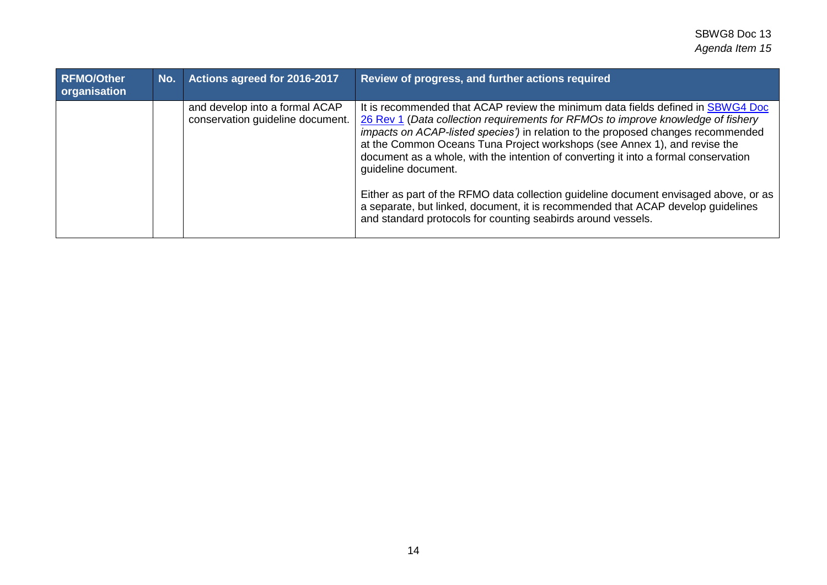| <b>RFMO/Other</b><br>organisation | No. | Actions agreed for 2016-2017                                       | Review of progress, and further actions required                                                                                                                                                                                                                                                                                                                                                                                                                                                                                                                                                                                                                                               |
|-----------------------------------|-----|--------------------------------------------------------------------|------------------------------------------------------------------------------------------------------------------------------------------------------------------------------------------------------------------------------------------------------------------------------------------------------------------------------------------------------------------------------------------------------------------------------------------------------------------------------------------------------------------------------------------------------------------------------------------------------------------------------------------------------------------------------------------------|
|                                   |     | and develop into a formal ACAP<br>conservation guideline document. | It is recommended that ACAP review the minimum data fields defined in SBWG4 Doc<br>26 Rev 1 (Data collection requirements for RFMOs to improve knowledge of fishery<br>impacts on ACAP-listed species') in relation to the proposed changes recommended<br>at the Common Oceans Tuna Project workshops (see Annex 1), and revise the<br>document as a whole, with the intention of converting it into a formal conservation<br>quideline document.<br>Either as part of the RFMO data collection guideline document envisaged above, or as<br>a separate, but linked, document, it is recommended that ACAP develop quidelines<br>and standard protocols for counting seabirds around vessels. |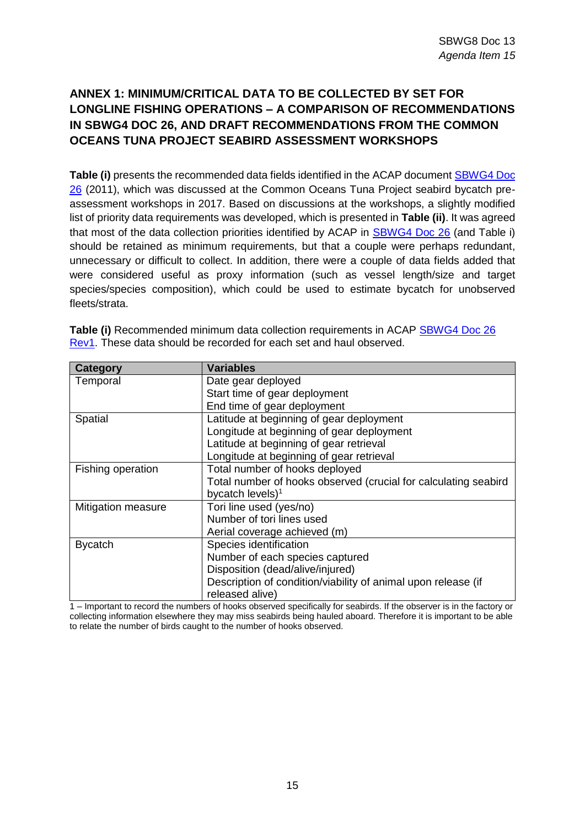## **ANNEX 1: MINIMUM/CRITICAL DATA TO BE COLLECTED BY SET FOR LONGLINE FISHING OPERATIONS – A COMPARISON OF RECOMMENDATIONS IN SBWG4 DOC 26, AND DRAFT RECOMMENDATIONS FROM THE COMMON OCEANS TUNA PROJECT SEABIRD ASSESSMENT WORKSHOPS**

**Table (i)** presents the recommended data fields identified in the ACAP documen[t SBWG4 Doc](https://www.acap.aq/en/working-groups/seabird-bycatch-working-group/seabird-bycatch-wg-meeting-4/sbwg4-meeting-documents/1349-sbwg-4-doc-26-rev1-data-collection-requirements-from-rfmos/file)  [26](https://www.acap.aq/en/working-groups/seabird-bycatch-working-group/seabird-bycatch-wg-meeting-4/sbwg4-meeting-documents/1349-sbwg-4-doc-26-rev1-data-collection-requirements-from-rfmos/file) (2011), which was discussed at the Common Oceans Tuna Project seabird bycatch preassessment workshops in 2017. Based on discussions at the workshops, a slightly modified list of priority data requirements was developed, which is presented in **Table (ii)**. It was agreed that most of the data collection priorities identified by ACAP in [SBWG4 Doc 26](https://www.acap.aq/en/working-groups/seabird-bycatch-working-group/seabird-bycatch-wg-meeting-4/sbwg4-meeting-documents/1349-sbwg-4-doc-26-rev1-data-collection-requirements-from-rfmos/file) (and Table i) should be retained as minimum requirements, but that a couple were perhaps redundant, unnecessary or difficult to collect. In addition, there were a couple of data fields added that were considered useful as proxy information (such as vessel length/size and target species/species composition), which could be used to estimate bycatch for unobserved fleets/strata.

| Category           | <b>Variables</b>                                                |
|--------------------|-----------------------------------------------------------------|
| Temporal           | Date gear deployed                                              |
|                    | Start time of gear deployment                                   |
|                    | End time of gear deployment                                     |
| Spatial            | Latitude at beginning of gear deployment                        |
|                    | Longitude at beginning of gear deployment                       |
|                    | Latitude at beginning of gear retrieval                         |
|                    | Longitude at beginning of gear retrieval                        |
| Fishing operation  | Total number of hooks deployed                                  |
|                    | Total number of hooks observed (crucial for calculating seabird |
|                    | bycatch levels) <sup>1</sup>                                    |
| Mitigation measure | Tori line used (yes/no)                                         |
|                    | Number of tori lines used                                       |
|                    | Aerial coverage achieved (m)                                    |
| <b>Bycatch</b>     | Species identification                                          |
|                    | Number of each species captured                                 |
|                    | Disposition (dead/alive/injured)                                |
|                    | Description of condition/viability of animal upon release (if   |
|                    | released alive)                                                 |

**Table (i)** Recommended minimum data collection requirements in ACAP [SBWG4 Doc 26](https://www.acap.aq/en/working-groups/seabird-bycatch-working-group/seabird-bycatch-wg-meeting-4/sbwg4-meeting-documents/1349-sbwg-4-doc-26-rev1-data-collection-requirements-from-rfmos/file)  [Rev1.](https://www.acap.aq/en/working-groups/seabird-bycatch-working-group/seabird-bycatch-wg-meeting-4/sbwg4-meeting-documents/1349-sbwg-4-doc-26-rev1-data-collection-requirements-from-rfmos/file) These data should be recorded for each set and haul observed.

1 – Important to record the numbers of hooks observed specifically for seabirds. If the observer is in the factory or collecting information elsewhere they may miss seabirds being hauled aboard. Therefore it is important to be able to relate the number of birds caught to the number of hooks observed.